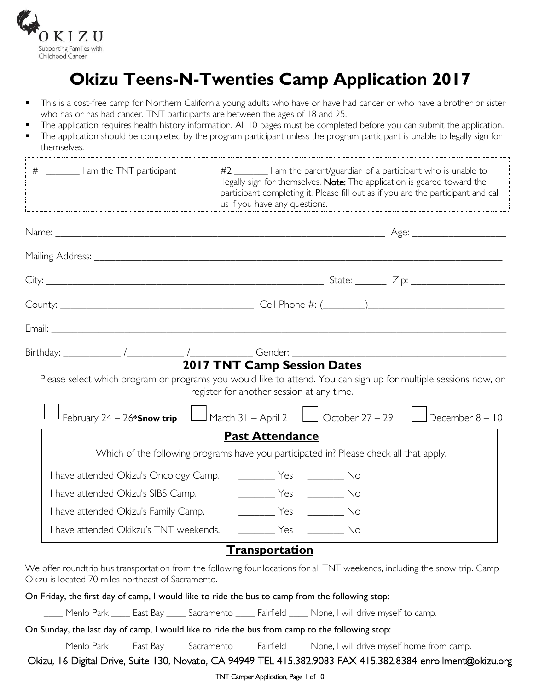

# **Okizu Teens-N-Twenties Camp Application 2017**

- This is a cost-free camp for Northern California young adults who have or have had cancer or who have a brother or sister who has or has had cancer. TNT participants are between the ages of 18 and 25.
- The application requires health history information. All 10 pages must be completed before you can submit the application.
- The application should be completed by the program participant unless the program participant is unable to legally sign for themselves.

| #1 _________   am the TNT participant  | #2 _________ I am the parent/guardian of a participant who is unable to<br>legally sign for themselves. Note: The application is geared toward the<br>participant completing it. Please fill out as if you are the participant and call<br>us if you have any questions. |
|----------------------------------------|--------------------------------------------------------------------------------------------------------------------------------------------------------------------------------------------------------------------------------------------------------------------------|
|                                        |                                                                                                                                                                                                                                                                          |
|                                        |                                                                                                                                                                                                                                                                          |
|                                        |                                                                                                                                                                                                                                                                          |
|                                        |                                                                                                                                                                                                                                                                          |
|                                        |                                                                                                                                                                                                                                                                          |
|                                        | <b>2017 TNT Camp Session Dates</b><br>Please select which program or programs you would like to attend. You can sign up for multiple sessions now, or<br>register for another session at any time.                                                                       |
|                                        | February 24 – 26* <b>Snow trip</b> $\Box$ March 31 – April 2 $\Box$ October 27 – 29 $\Box$ December 8 – 10                                                                                                                                                               |
|                                        | <b>Past Attendance</b>                                                                                                                                                                                                                                                   |
|                                        | Which of the following programs have you participated in? Please check all that apply.                                                                                                                                                                                   |
| I have attended Okizu's Oncology Camp. |                                                                                                                                                                                                                                                                          |
|                                        |                                                                                                                                                                                                                                                                          |
|                                        | I have attended Okizu's Family Camp. [19] Tes [19] No                                                                                                                                                                                                                    |
|                                        | I have attended Okikzu's TNT weekends. ___________ Yes __________ No                                                                                                                                                                                                     |
|                                        | $T$ <sub>"</sub>                                                                                                                                                                                                                                                         |

### <u>**Transportation**</u>

We offer roundtrip bus transportation from the following four locations for all TNT weekends, including the snow trip. Camp Okizu is located 70 miles northeast of Sacramento.

On Friday, the first day of camp, I would like to ride the bus to camp from the following stop:

\_\_\_\_ Menlo Park \_\_\_\_ East Bay \_\_\_\_ Sacramento \_\_\_\_ Fairfield \_\_\_\_ None, I will drive myself to camp.

On Sunday, the last day of camp, I would like to ride the bus from camp to the following stop:

\_\_\_\_ Menlo Park \_\_\_\_ East Bay \_\_\_\_ Sacramento \_\_\_\_ Fairfield \_\_\_\_ None, I will drive myself home from camp.

Okizu, 16 Digital Drive, Suite 130, Novato, CA 94949 TEL 415.382.9083 FAX 415.382.8384 enrollment@okizu.org

#### TNT Camper Application, Page 1 of 10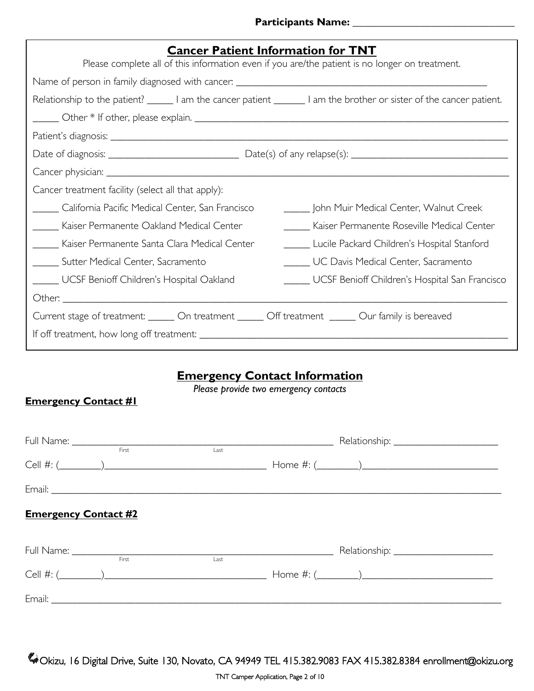#### **Participants Name: \_\_\_\_\_\_\_\_\_\_\_\_\_\_\_\_\_\_\_\_\_\_\_\_\_\_\_\_\_\_\_**

| <b>Cancer Patient Information for TNT</b>                                                                                |                                                |  |  |  |
|--------------------------------------------------------------------------------------------------------------------------|------------------------------------------------|--|--|--|
| Please complete all of this information even if you are/the patient is no longer on treatment.                           |                                                |  |  |  |
|                                                                                                                          |                                                |  |  |  |
| Relationship to the patient? _______ I am the cancer patient _________ I am the brother or sister of the cancer patient. |                                                |  |  |  |
|                                                                                                                          |                                                |  |  |  |
|                                                                                                                          |                                                |  |  |  |
|                                                                                                                          |                                                |  |  |  |
|                                                                                                                          |                                                |  |  |  |
| Cancer treatment facility (select all that apply):                                                                       |                                                |  |  |  |
| California Pacific Medical Center, San Francisco                                                                         | _____ John Muir Medical Center, Walnut Creek   |  |  |  |
| _____ Kaiser Permanente Oakland Medical Center                                                                           |                                                |  |  |  |
| _____ Kaiser Permanente Santa Clara Medical Center                                                                       | Lucile Packard Children's Hospital Stanford    |  |  |  |
| ______ Sutter Medical Center, Sacramento                                                                                 | UC Davis Medical Center, Sacramento            |  |  |  |
| UCSF Benioff Children's Hospital Oakland                                                                                 | UCSF Benioff Children's Hospital San Francisco |  |  |  |
|                                                                                                                          |                                                |  |  |  |
| Current stage of treatment: ______ On treatment ______ Off treatment ______ Our family is bereaved                       |                                                |  |  |  |
|                                                                                                                          |                                                |  |  |  |

## **Emergency Contact Information**

*Please provide two emergency contacts*

### **Emergency Contact #1**

|                             | First | Last |  |
|-----------------------------|-------|------|--|
|                             |       |      |  |
|                             |       |      |  |
| <b>Emergency Contact #2</b> |       |      |  |
|                             | First | Last |  |
|                             |       |      |  |
|                             |       |      |  |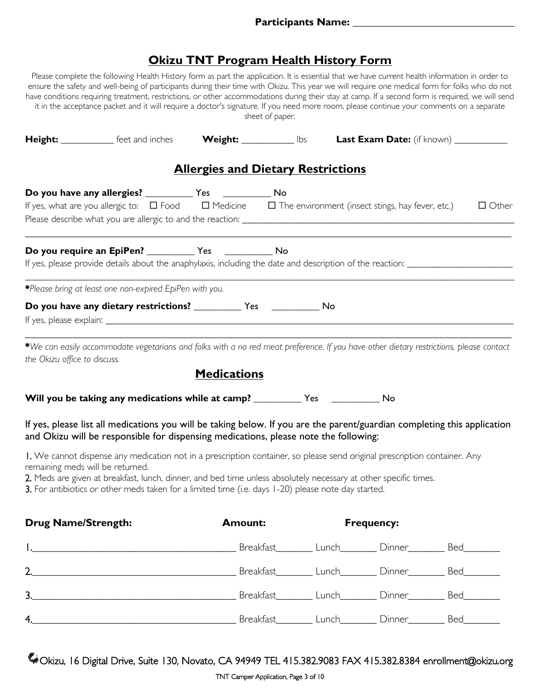### **Okizu TNT Program Health History Form**

Please complete the following Health History form as part the application. It is essential that we have current health information in order to ensure the safety and well-being of participants during their time with Okizu. This year we will require one medical form for folks who do not have conditions requiring treatment, restrictions, or other accommodations during their stay at camp. If a second form is required, we will send it in the acceptance packet and it will require a doctor's signature. If you need more room, please continue your comments on a separate sheet of paper.

| Height: ____________ feet and inches Weight: ____________ lbs Last Exam Date: (if known) ___________                                                                                                                                                                                                                                                                                     |                                           |                   |              |
|------------------------------------------------------------------------------------------------------------------------------------------------------------------------------------------------------------------------------------------------------------------------------------------------------------------------------------------------------------------------------------------|-------------------------------------------|-------------------|--------------|
|                                                                                                                                                                                                                                                                                                                                                                                          | <b>Allergies and Dietary Restrictions</b> |                   |              |
| If yes, what are you allergic to: $\Box$ Food $\Box$ Medicine $\Box$ The environment (insect stings, hay fever, etc.)                                                                                                                                                                                                                                                                    |                                           |                   | $\Box$ Other |
|                                                                                                                                                                                                                                                                                                                                                                                          |                                           |                   |              |
| *Please bring at least one non-expired EpiPen with you.                                                                                                                                                                                                                                                                                                                                  |                                           |                   |              |
| Do you have any dietary restrictions? _____________ Yes _______________ No<br>If yes, please explain: The same state of the state of the state of the state of the state of the state of the state of the state of the state of the state of the state of the state of the state of the state of the state o                                                                             |                                           |                   |              |
| *We can easily accommodate vegetarians and folks with a no red meat preference. If you have other dietary restrictions, please contact<br>the Okizu office to discuss.                                                                                                                                                                                                                   | <b>Medications</b>                        |                   |              |
| Will you be taking any medications while at camp? _____________ Yes _____________ No                                                                                                                                                                                                                                                                                                     |                                           |                   |              |
| If yes, please list all medications you will be taking below. If you are the parent/guardian completing this application<br>and Okizu will be responsible for dispensing medications, please note the following:                                                                                                                                                                         |                                           |                   |              |
| I. We cannot dispense any medication not in a prescription container, so please send original prescription container. Any<br>remaining meds will be returned.<br>2. Meds are given at breakfast, lunch, dinner, and bed time unless absolutely necessary at other specific times.<br>3. For antibiotics or other meds taken for a limited time (i.e. days 1-20) please note day started. |                                           |                   |              |
| <b>Drug Name/Strength:</b>                                                                                                                                                                                                                                                                                                                                                               | <b>Amount:</b>                            | <b>Frequency:</b> |              |
|                                                                                                                                                                                                                                                                                                                                                                                          |                                           |                   |              |
|                                                                                                                                                                                                                                                                                                                                                                                          |                                           |                   |              |
|                                                                                                                                                                                                                                                                                                                                                                                          |                                           |                   |              |

Okizu, 16 Digital Drive, Suite 130, Novato, CA 94949 TEL 415.382.9083 FAX 415.382.8384 enrollment@okizu.org

4.\_\_\_\_\_\_\_\_\_\_\_\_\_\_\_\_\_\_\_\_\_\_\_\_\_\_\_\_\_\_\_\_\_\_\_\_\_\_\_ Breakfast\_\_\_\_\_\_\_ Lunch\_\_\_\_\_\_\_ Dinner\_\_\_\_\_\_\_ Bed\_\_\_\_\_\_\_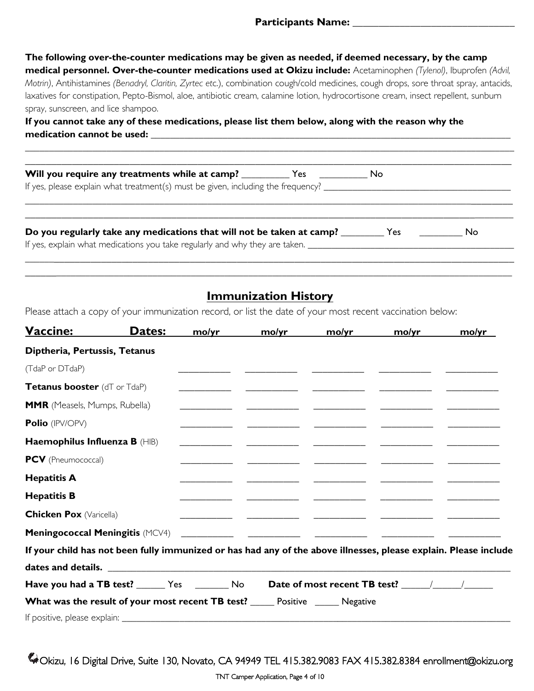**The following over-the-counter medications may be given as needed, if deemed necessary, by the camp medical personnel. Over-the-counter medications used at Okizu include:** Acetaminophen *(Tylenol)*, Ibuprofen *(Advil, Motrin)*, Antihistamines *(Benadryl, Claritin, Zyrtec et*c.), combination cough/cold medicines, cough drops, sore throat spray, antacids, laxatives for constipation, Pepto-Bismol, aloe, antibiotic cream, calamine lotion, hydrocortisone cream, insect repellent, sunburn spray, sunscreen, and lice shampoo.

**If you cannot take any of these medications, please list them below, along with the reason why the**  medication cannot be used:

| If yes, please explain what treatment(s) must be given, including the frequency? _____________________________                                                                                        |    |
|-------------------------------------------------------------------------------------------------------------------------------------------------------------------------------------------------------|----|
| Do you regularly take any medications that will not be taken at camp? _________ Yes<br>If yes, explain what medications you take regularly and why they are taken. __________________________________ | No |

\_\_\_\_\_\_\_\_\_\_\_\_\_\_\_\_\_\_\_\_\_\_\_\_\_\_\_\_\_\_\_\_\_\_\_\_\_\_\_\_\_\_\_\_\_\_\_\_\_\_\_\_\_\_\_\_\_\_\_\_\_\_\_\_\_\_\_\_\_\_\_\_\_\_\_\_\_\_\_\_\_\_\_\_\_\_\_\_\_\_\_\_\_\_\_\_\_\_\_\_\_\_

### **Immunization History**

Please attach a copy of your immunization record, or list the date of your most recent vaccination below:

| <b>Vaccine:</b>                | Dates:                                                                                                           | mo/yr | mo/yr | mo/yr | mo/yr                                                                                                                  | mo/yr |
|--------------------------------|------------------------------------------------------------------------------------------------------------------|-------|-------|-------|------------------------------------------------------------------------------------------------------------------------|-------|
| Diptheria, Pertussis, Tetanus  |                                                                                                                  |       |       |       |                                                                                                                        |       |
| (TdaP or DTdaP)                |                                                                                                                  |       |       |       |                                                                                                                        |       |
| Tetanus booster (dT or TdaP)   |                                                                                                                  |       |       |       |                                                                                                                        |       |
| MMR (Measels, Mumps, Rubella)  |                                                                                                                  |       |       |       |                                                                                                                        |       |
| Polio (IPV/OPV)                |                                                                                                                  |       |       |       | <u> 1999 - Jan James James, mars and de la construction de la construction de la construction de la construction d</u> |       |
| Haemophilus Influenza B (HIB)  |                                                                                                                  |       |       |       |                                                                                                                        |       |
| <b>PCV</b> (Pneumococcal)      |                                                                                                                  |       |       |       |                                                                                                                        |       |
| <b>Hepatitis A</b>             |                                                                                                                  |       |       |       |                                                                                                                        |       |
| <b>Hepatitis B</b>             |                                                                                                                  |       |       |       |                                                                                                                        |       |
| <b>Chicken Pox (Varicella)</b> |                                                                                                                  |       |       |       |                                                                                                                        |       |
|                                |                                                                                                                  |       |       |       |                                                                                                                        |       |
|                                | If your child has not been fully immunized or has had any of the above illnesses, please explain. Please include |       |       |       |                                                                                                                        |       |
|                                |                                                                                                                  |       |       |       |                                                                                                                        |       |
|                                | Have you had a TB test? _______ Yes __________ No                                                                |       |       |       |                                                                                                                        |       |
|                                | <b>What was the result of your most recent TB test?</b> _____ Positive _____ Negative                            |       |       |       |                                                                                                                        |       |
|                                |                                                                                                                  |       |       |       |                                                                                                                        |       |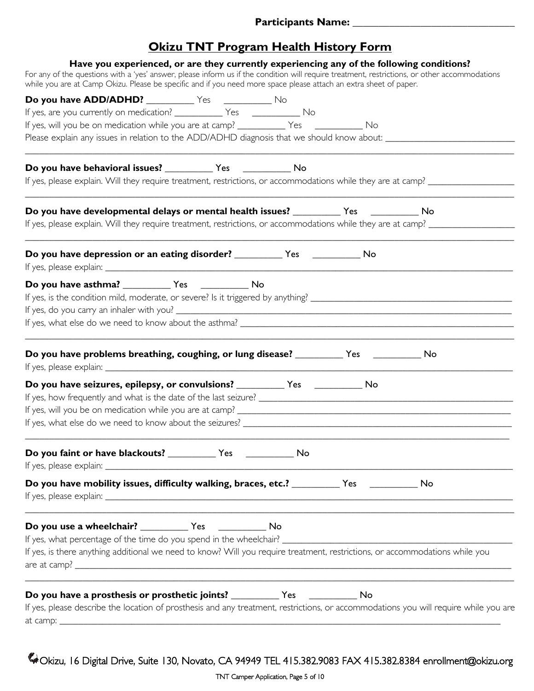### **Okizu TNT Program Health History Form**

| Have you experienced, or are they currently experiencing any of the following conditions?<br>For any of the questions with a 'yes' answer, please inform us if the condition will require treatment, restrictions, or other accommodations |  |  |
|--------------------------------------------------------------------------------------------------------------------------------------------------------------------------------------------------------------------------------------------|--|--|
| while you are at Camp Okizu. Please be specific and if you need more space please attach an extra sheet of paper.                                                                                                                          |  |  |
|                                                                                                                                                                                                                                            |  |  |
|                                                                                                                                                                                                                                            |  |  |
| If yes, will you be on medication while you are at camp? ____________ Yes _____________ No                                                                                                                                                 |  |  |
| Please explain any issues in relation to the ADD/ADHD diagnosis that we should know about: ___________________                                                                                                                             |  |  |
|                                                                                                                                                                                                                                            |  |  |
| If yes, please explain. Will they require treatment, restrictions, or accommodations while they are at camp? __________________________                                                                                                    |  |  |
|                                                                                                                                                                                                                                            |  |  |
|                                                                                                                                                                                                                                            |  |  |
| Do you have depression or an eating disorder? ____________ Yes _____________ No                                                                                                                                                            |  |  |
| Do you have asthma? Ves No                                                                                                                                                                                                                 |  |  |
| Do you have problems breathing, coughing, or lung disease? ____________ Yes ______________ No                                                                                                                                              |  |  |
|                                                                                                                                                                                                                                            |  |  |
|                                                                                                                                                                                                                                            |  |  |
|                                                                                                                                                                                                                                            |  |  |
| Do you faint or have blackouts? ______________ Yes _______________ No                                                                                                                                                                      |  |  |
| Do you have mobility issues, difficulty walking, braces, etc.? __________ Yes __________ No                                                                                                                                                |  |  |
|                                                                                                                                                                                                                                            |  |  |
| If yes, is there anything additional we need to know? Will you require treatment, restrictions, or accommodations while you                                                                                                                |  |  |
|                                                                                                                                                                                                                                            |  |  |
| If yes, please describe the location of prosthesis and any treatment, restrictions, or accommodations you will require while you are                                                                                                       |  |  |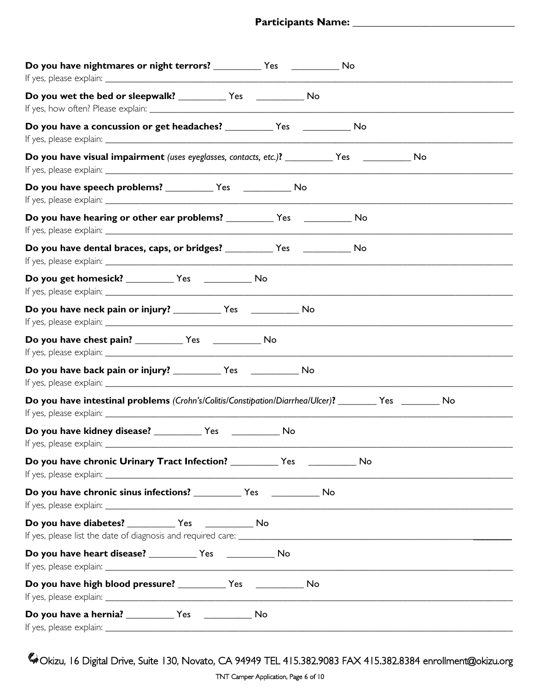| Do you have nightmares or night terrors? ____________ Yes _________________ No                            |
|-----------------------------------------------------------------------------------------------------------|
| Do you wet the bed or sleepwalk? ______________ Yes __________________ No                                 |
|                                                                                                           |
| Do you have visual impairment (uses eyeglasses, contacts, etc.)? ____________ Yes _________________<br>No |
|                                                                                                           |
|                                                                                                           |
|                                                                                                           |
|                                                                                                           |
| Do you have neck pain or injury? _____________ Yes _________________ No                                   |
|                                                                                                           |
| Do you have back pain or injury? _____________ Yes _______________ No                                     |
| Do you have intestinal problems (Crohn's/Colitis/Constipation/Diarrhea/Ulcer)? _______ Yes _______ No     |
| If yes, please explain: _                                                                                 |
| Do you have chronic Urinary Tract Infection? ____________ Yes _____________ No                            |
| Do you have chronic sinus infections? _____________ Yes _______________ No                                |
|                                                                                                           |
|                                                                                                           |
| Do you have high blood pressure? _____________ Yes ______________ No                                      |
|                                                                                                           |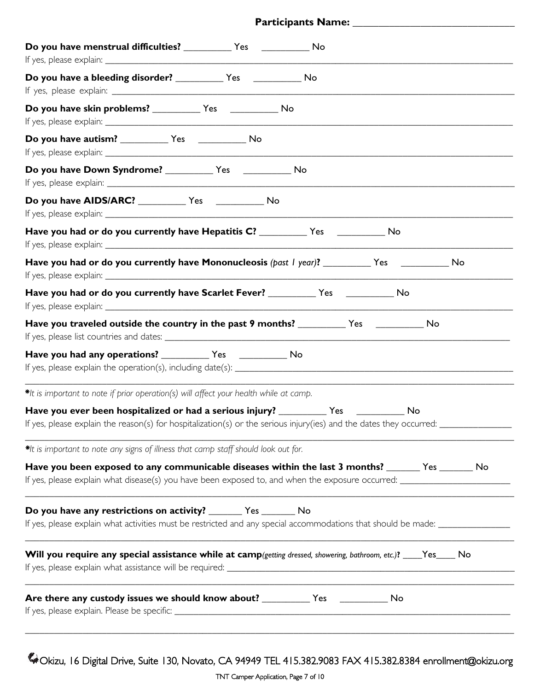#### **Participants Name: \_\_\_\_\_\_\_\_\_\_\_\_\_\_\_\_\_\_\_\_\_\_\_\_\_\_\_\_\_\_\_**

| Do you have menstrual difficulties? ____________ Yes _______________ No                                                                                                                            |
|----------------------------------------------------------------------------------------------------------------------------------------------------------------------------------------------------|
| Do you have a bleeding disorder? _____________ Yes ________________ No                                                                                                                             |
|                                                                                                                                                                                                    |
|                                                                                                                                                                                                    |
| Do you have Down Syndrome? ______________ Yes ________________ No                                                                                                                                  |
|                                                                                                                                                                                                    |
| Have you had or do you currently have Hepatitis C? ____________ Yes ____________ No                                                                                                                |
| Have you had or do you currently have Mononucleosis (past I year)? ___________ Yes _____________ No                                                                                                |
| Have you had or do you currently have Scarlet Fever? _____________ Yes ______________ No                                                                                                           |
|                                                                                                                                                                                                    |
|                                                                                                                                                                                                    |
| *It is important to note if prior operation(s) will affect your health while at camp.                                                                                                              |
| If yes, please explain the reason(s) for hospitalization(s) or the serious injury(ies) and the dates they occurred: $\equiv$                                                                       |
| *It is important to note any signs of illness that camp staff should look out for.                                                                                                                 |
| Have you been exposed to any communicable diseases within the last 3 months? _______ Yes _______ No                                                                                                |
| Do you have any restrictions on activity? ________ Yes _______ No<br>If yes, please explain what activities must be restricted and any special accommodations that should be made: _______________ |
| Will you require any special assistance while at camp(getting dressed, showering, bathroom, etc.)? ___Yes____ No                                                                                   |
|                                                                                                                                                                                                    |
|                                                                                                                                                                                                    |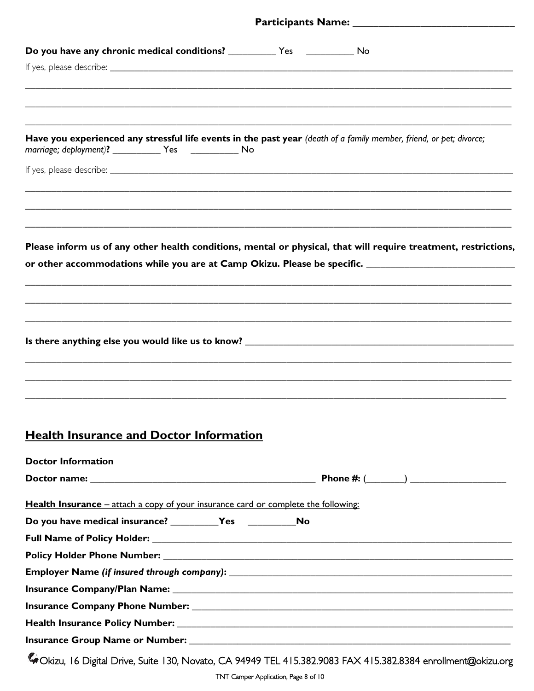| Have you experienced any stressful life events in the past year (death of a family member, friend, or pet; divorce;<br>marriage; deployment)? ________________ Yes _________________ No |  |                                                                                                                 |
|-----------------------------------------------------------------------------------------------------------------------------------------------------------------------------------------|--|-----------------------------------------------------------------------------------------------------------------|
|                                                                                                                                                                                         |  |                                                                                                                 |
|                                                                                                                                                                                         |  |                                                                                                                 |
|                                                                                                                                                                                         |  |                                                                                                                 |
|                                                                                                                                                                                         |  | Please inform us of any other health conditions, mental or physical, that will require treatment, restrictions, |
|                                                                                                                                                                                         |  | or other accommodations while you are at Camp Okizu. Please be specific. ___________________________            |
|                                                                                                                                                                                         |  |                                                                                                                 |
|                                                                                                                                                                                         |  |                                                                                                                 |
|                                                                                                                                                                                         |  |                                                                                                                 |
|                                                                                                                                                                                         |  |                                                                                                                 |
| <b>Health Insurance and Doctor Information</b>                                                                                                                                          |  |                                                                                                                 |
| <b>Doctor Information</b>                                                                                                                                                               |  |                                                                                                                 |
|                                                                                                                                                                                         |  |                                                                                                                 |
| <b>Health Insurance</b> – attach a copy of your insurance card or complete the following:                                                                                               |  |                                                                                                                 |
|                                                                                                                                                                                         |  |                                                                                                                 |
|                                                                                                                                                                                         |  |                                                                                                                 |
|                                                                                                                                                                                         |  |                                                                                                                 |
|                                                                                                                                                                                         |  |                                                                                                                 |
|                                                                                                                                                                                         |  |                                                                                                                 |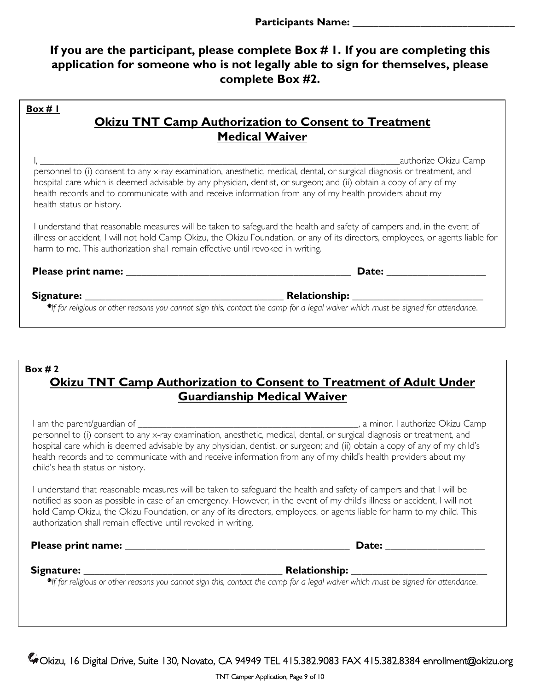### **If you are the participant, please complete Box # 1. If you are completing this application for someone who is not legally able to sign for themselves, please complete Box #2.**

|                                                                                 | <b>Okizu TNT Camp Authorization to Consent to Treatment</b><br><b>Medical Waiver</b>                                                                                                                                                                                                                                                                                             |
|---------------------------------------------------------------------------------|----------------------------------------------------------------------------------------------------------------------------------------------------------------------------------------------------------------------------------------------------------------------------------------------------------------------------------------------------------------------------------|
| health status or history.                                                       | authorize Okizu Camp<br>personnel to (i) consent to any x-ray examination, anesthetic, medical, dental, or surgical diagnosis or treatment, and<br>hospital care which is deemed advisable by any physician, dentist, or surgeon; and (ii) obtain a copy of any of my<br>health records and to communicate with and receive information from any of my health providers about my |
| harm to me. This authorization shall remain effective until revoked in writing. | understand that reasonable measures will be taken to safeguard the health and safety of campers and, in the event of<br>illness or accident, I will not hold Camp Okizu, the Okizu Foundation, or any of its directors, employees, or agents liable for                                                                                                                          |
|                                                                                 | Date: the contract of the contract of the contract of the contract of the contract of the contract of the contract of the contract of the contract of the contract of the contract of the contract of the contract of the cont                                                                                                                                                   |
|                                                                                 | Relationship: Nelationship:                                                                                                                                                                                                                                                                                                                                                      |

### **Box # 2 Okizu TNT Camp Authorization to Consent to Treatment of Adult Under Guardianship Medical Waiver**

I am the parent/guardian of \_\_\_\_\_\_\_\_\_\_\_\_\_\_\_\_\_\_\_\_\_\_\_\_\_\_\_\_\_\_\_\_\_\_\_\_\_\_\_\_\_\_\_\_\_\_, a minor. I authorize Okizu Camp personnel to (i) consent to any x-ray examination, anesthetic, medical, dental, or surgical diagnosis or treatment, and hospital care which is deemed advisable by any physician, dentist, or surgeon; and (ii) obtain a copy of any of my child's health records and to communicate with and receive information from any of my child's health providers about my child's health status or history.

I understand that reasonable measures will be taken to safeguard the health and safety of campers and that I will be notified as soon as possible in case of an emergency. However, in the event of my child's illness or accident, I will not hold Camp Okizu, the Okizu Foundation, or any of its directors, employees, or agents liable for harm to my child. This authorization shall remain effective until revoked in writing.

|  | Please print name: |
|--|--------------------|
|  |                    |

**Pate:**  $\blacksquare$ 

#### **Signature: \_\_\_\_\_\_\_\_\_\_\_\_\_\_\_\_\_\_\_\_\_\_\_\_\_\_\_\_\_\_\_\_\_\_\_\_\_\_ Relationship: \_\_\_\_\_\_\_\_\_\_\_\_\_\_\_\_\_\_\_\_\_\_\_\_\_\_**

*\*If for religious or other reasons you cannot sign this, contact the camp for a legal waiver which must be signed for attendance*.

Okizu, 16 Digital Drive, Suite 130, Novato, CA 94949 TEL 415.382.9083 FAX 415.382.8384 enrollment@okizu.org

TNT Camper Application, Page 9 of 10